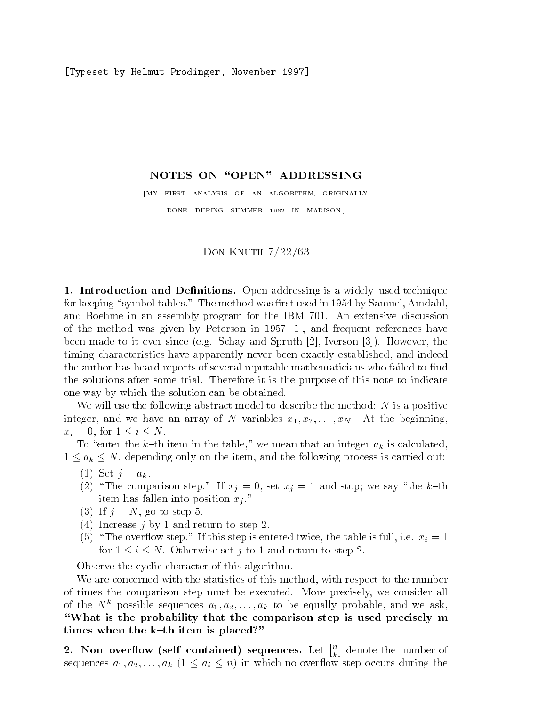Typeset by Helmut Prodinger November -

## NOTES ON "OPEN" ADDRESSING

[MY FIRST ANALYSIS OF AN ALGORITHM, ORIGINALLY DONE DURING SUMMER - IN MADISON

# Don Knuth --

- Introduction and Denitions Open addressing is a widelyused technique for keeping symbol tables- The method was rst used in by Samuel Amdahl and Boehme in an assembly program for the IBM  $\sim$  the IBM  $\sim$  the IBM  $\sim$  the IBM  $\sim$  $\mathcal{L}$  the method was given by Peterson in Fig. reception is the since  $\mathbb{R}^n$  in the spruch spruth for the spruch  $\mathbb{R}^n$  and  $\mathbb{R}^n$  and  $\mathbb{R}^n$ timing characteristics have apparently never been exactly established, and indeed the author has heard reports of several reputable mathematicians who failed to find the solutions after some trial-term some trial-term indicates of this note to indicate  $\mathbf{I}_{\text{max}}$ one way by which the solution can be obtained-

We will use the following abstract model to describe the method:  $N$  is a positive  $\mathcal{L}$ integer and  $\mathcal{L}$  and  $\mathcal{L}$  and  $\mathcal{L}$  array of  $\mathcal{L}$  . The  $\mathcal{L}$   $\mathcal{L}$   $\mathcal{L}$   $\mathcal{L}$   $\mathcal{L}$   $\mathcal{L}$   $\mathcal{L}$   $\mathcal{L}$   $\mathcal{L}$   $\mathcal{L}$   $\mathcal{L}$   $\mathcal{L}$   $\mathcal{L}$   $\mathcal{L}$   $\mathcal{L}$   $\mathcal{L}$  $x_i = 0$ , for  $1 \leq i \leq N$ .

To "enter the k-th item in the table," we mean that an integer  $a_k$  is calculated,  $1 \le a_k \le N$ , depending only on the item, and the following process is carried out:

- $(1)$  Set  $j = a_k$ .
- $\lambda=1$  . The comparison step steps we say the kind  $\lambda=1$  , we set the kind step we say the kind  $\lambda=1$ item has fallen into position in the position  $\mathcal{C}$
- (3) If  $j = N$ , go to step 5.
- (4) Increase  $j$  by 1 and return to step 2.
- If the overall step-step is the table is the table in the table is the table in the step in the table is  $\ell$ for <sup>i</sup> N- Otherwise set <sup>j</sup> to and return to step -

Observe the cyclic character of this algorithm-

We are concerned with the statistics of this method, with respect to the number of times the comparison step minds be executed-we consider  $\mu$  is the executive all  $\mu$ of the  $N^k$  possible sequences  $a_1, a_2, \ldots, a_k$  to be equally probable, and we ask, What is the probability that the comparison step is used precisely m times when the  $k-th$  item is placed?"

2. Non-overflow (self-contained) sequences. Let  $\begin{bmatrix} n \\ i \end{bmatrix}$  de ka kacamatan ing Kabupatèn Kabupatèn Kabupatèn Kabupatèn Kabupatèn Kabupatèn Kabupatèn Kabupatèn Kabupatèn Ka  $\mathcal{L}_{\mathcal{A}}$  is a and  $\mathcal{L}_{\mathcal{A}}$  in the  $\mathcal{L}_{\mathcal{A}}$  in  $\mathcal{L}_{\mathcal{A}}$  in which no overlaps during the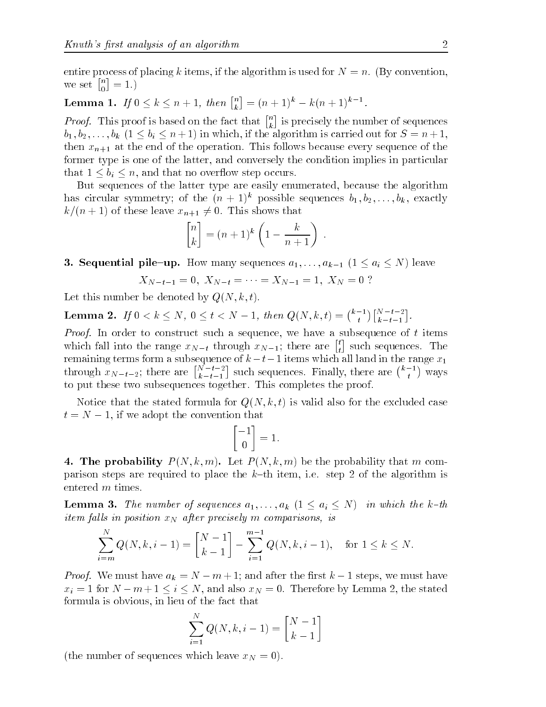-

entire process of placing k items in the algorithm is used for  $\mathcal{A}$  if  $\mathcal{A}$ we set  $\begin{bmatrix} n \\ 0 \end{bmatrix} =$ -

#### Lemma 1. If  $0\leq k\leq n+1,$  then  $\left[\begin{smallmatrix}n\ k\end{smallmatrix}\right]=0$  $n = (n + 1)^k - k(n + 1)^{k-1}.$

*Proof.* This proof is based on the fact that  $\begin{bmatrix} n \\ n \end{bmatrix}$  is is precisely the number of sequences  $b_1, b_2, \ldots, b_k$   $(1 \leq b_i \leq n+1)$  in which, if the algorithm is carried out for  $S = n+1$ , then xn at the end of the operation-western complete the operation-western sequence of the operation former type is one of the latter, and conversely the condition implies in particular that  $1 \leq b_i \leq n$ , and that no overflow step occurs.

But sequences of the latter type are easily enumerated, because the algorithm has circular symmetry; of the  $(n + 1)^k$  possible sequences  $b_1, b_2, \ldots, b_k$ , exactly  $\cdots$  , and the section of these leaves that  $\cdots$  is shown that  $\cdots$  is a shown that  $\cdots$ 

$$
\begin{bmatrix} n \\ k \end{bmatrix} = (n+1)^k \left( 1 - \frac{k}{n+1} \right) \ .
$$

**3. Sequential pile-up.** How many sequences  $a_1, \ldots, a_{k-1}$   $(1 \le a_i \le N)$  leave

$$
X_{N-t-1} = 0, \ X_{N-t} = \cdots = X_{N-1} = 1, \ X_N = 0 ?
$$

Let this number be denoted by  $Q(N, k, t)$ .

**Lemma 2.** If  $0 < k \leq N$ ,  $0 \leq t < N-1$ , then  $Q(N, k, t) = \binom{k-1}{t}\binom{N-t-2}{k-t-1}$ .

Proof In order to construct such a sequence we have a subsequence of <sup>t</sup> items which fall into the range  $x_{N-t}$  through  $x_{N-1}$ ; there are  $\begin{bmatrix} t \\ t \end{bmatrix}$  such sequences. The remaining terms form a subsequence of  $k-t-1$  items which all land in the range  $x_1$ through  $x_{N-t-2}$ ; there are  $\binom{N-t-2}{k-t-1}$  such sequences. Finally, there are  $\binom{k-1}{t}$  ways to put these two subsequences together- This completes the proof-

Notice that the stated formula for  $Q(N, k, t)$  is valid also for the excluded case  $t = N - 1$ , if we adopt the convention that

$$
\begin{bmatrix} -1 \\ 0 \end{bmatrix} = 1.
$$

4. The probability  $P(N, k, m)$ . Let  $P(N, k, m)$  be the probability that m compartners to place the required to place the control the steps items the place the algorithm in the algorithm in entered m times.

**Lemma 3.** The number of sequences  $a_1, \ldots, a_k$   $(1 \le a_i \le N)$  in which the k-th  $i$ tem falts in position  $x_N$  after precisely in comparisons, is

$$
\sum_{i=m}^{N} Q(N, k, i-1) = \begin{bmatrix} N-1 \\ k-1 \end{bmatrix} - \sum_{i=1}^{m-1} Q(N, k, i-1), \text{ for } 1 \le k \le N.
$$

 $P$  ,  $P$  ,  $P$  and  $P$  are  $P$  and  $P$  and  $P$  is the rest weight in the rest weight  $P$  and  $P$  and  $P$  and  $P$  are  $P$  and  $P$  and  $P$  and  $P$  and  $P$  and  $P$  and  $P$  and  $P$  and  $P$  and  $P$  and  $P$  and  $P$  and  $P$  and  $x$  , therefore by Lemma  $\sim$  1 m  $\sim$  1 m  $\sim$  1 m  $\sim$  1 m  $\sim$  1 m  $\sim$  1 m  $\sim$  1 m  $\sim$  1 m  $\sim$  1 m  $\sim$  1 m  $\sim$  1 m  $\sim$ formula is obvious, in lieu of the fact that

$$
\sum_{i=1}^{N} Q(N, k, i-1) = \begin{bmatrix} N-1 \\ k-1 \end{bmatrix}
$$

(the number of sequences which leave  $x_N = 0$ ).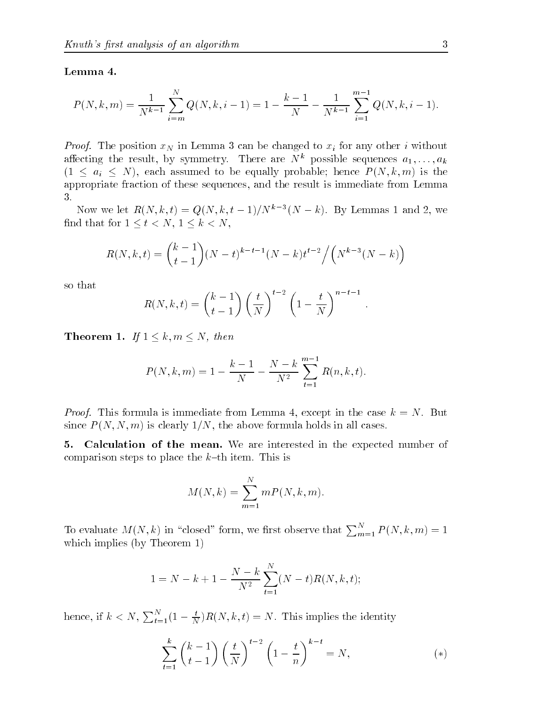## Lemma 4.

$$
P(N,k,m) = \frac{1}{N^{k-1}} \sum_{i=m}^{N} Q(N,k,i-1) = 1 - \frac{k-1}{N} - \frac{1}{N^{k-1}} \sum_{i=1}^{m-1} Q(N,k,i-1).
$$

 $\mathbb{P}$  is  $\mathbb{P}$  the position  $\mathbb{Q}$  in Lemma  $\mathbb{Q}$  can be changed to  $\mathbb{Q}$  for any other  $\mathbb{Q}$  without affecting the result, by symmetry. There are N possible sequences  $a_1,\ldots,a_k$  $(1 \le a_i \le N)$ , each assumed to be equally probable; hence  $P(N, k, m)$  is the appropriate fraction of these sequences and the result is immediate from Lemma 3.

Now we let  $R(N, k, t) = Q(N, k, t - 1)/N^{n}$  (N  $-k$ ). By Lemmas 1 and 2, we find that for  $1 \leq t < N$ ,  $1 \leq k < N$ ,

$$
R(N,k,t) = {k-1 \choose t-1} (N-t)^{k-t-1} (N-k)t^{t-2} / (N^{k-3} (N-k))
$$

so that

$$
R(N,k,t) = {k-1 \choose t-1} \left(\frac{t}{N}\right)^{t-2} \left(1 - \frac{t}{N}\right)^{n-t-1}.
$$

**If IT COLUMN 1:**  $I_1$  1  $\leq R$ ,  $H\ell \leq T$ ,  $H\ell U\ell \ell$ 

$$
P(N, k, m) = 1 - \frac{k-1}{N} - \frac{N-k}{N^2} \sum_{t=1}^{m-1} R(n, k, t).
$$

 $\mathcal{L}$  ,  $\mathcal{L}$   $\mathcal{L}$   $\mathcal{L}$   $\mathcal{L}$  are cased in the case  $\mathcal{L}$  is the case  $\mathcal{L}$  . The  $\mathcal{L}$  is the set of  $\mathcal{L}$ since P New York for clearly - All cases-above formula holds in all cases-above formula holds

5. Calculation of the mean. We are interested in the expected number of comparison steps to place the the steps the steps of the steps in

$$
M(N,k) = \sum_{m=1}^{N} mP(N,k,m).
$$

To evaluate  $M(N, k)$  in "closed" form, we first observe that  $\sum_{m=1}^{N} P(N, k, m) = 1$ which implies (by Theorem  $1$ )

$$
1 = N - k + 1 - \frac{N - k}{N^2} \sum_{t=1}^{N} (N - t)R(N, k, t);
$$

hence, if  $k < N$ ,  $\sum_{t=1}^{N} (1 - \frac{t}{N}) R(N, k, t) = N$ . This implies the identity

$$
\sum_{t=1}^{k} \binom{k-1}{t-1} \left(\frac{t}{N}\right)^{t-2} \left(1 - \frac{t}{n}\right)^{k-t} = N,\tag{*}
$$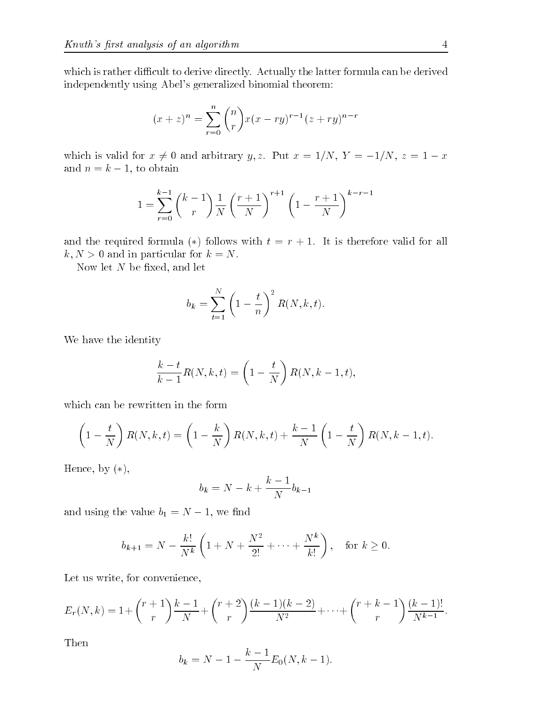which is rather directly-directly-directly-directly-directly-directly-directly-directly-directly-directly-directly-directly-directly-directly-directly-directly-directly-directly-directly-directly-directly-directly-directl independently using Abel's generalized binomial theorem:

$$
(x+z)^n = \sum_{r=0}^n \binom{n}{r} x(x-ry)^{r-1} (z+ry)^{n-r}
$$

which is valid for  $\alpha$  -  $\beta$  contains the matrices of  $\beta$  ,  $\alpha$  ,  $\alpha$  ,  $\alpha$  ,  $\beta$  ,  $\beta$  ,  $\beta$  ,  $\beta$  ,  $\beta$  ,  $\beta$  ,  $\beta$  ,  $\beta$  ,  $\beta$  ,  $\beta$  ,  $\beta$  ,  $\beta$  ,  $\beta$  ,  $\beta$  ,  $\beta$  ,  $\beta$  ,  $\beta$  ,  $\beta$  ,  $\beta$  ,  $\beta$ and  $n = k - 1$ , to obtain

$$
1 = \sum_{r=0}^{k-1} {k-1 \choose r} \frac{1}{N} \left(\frac{r+1}{N}\right)^{r+1} \left(1 - \frac{r+1}{N}\right)^{k-r-1}
$$

and the required formula ( ) follows with the red  $\sim$  . It is the following for all  $\sim$  $k, N > 0$  and in particular for  $k = N$ .

Now let  $N$  be fixed, and let

$$
b_k = \sum_{t=1}^N \left(1 - \frac{t}{n}\right)^2 R(N, k, t).
$$

We have the identity

$$
\frac{k-t}{k-1}R(N,k,t) = \left(1 - \frac{t}{N}\right)R(N,k-1,t),
$$

which can be rewritten in the form

$$
\left(1-\frac{t}{N}\right)R(N,k,t) = \left(1-\frac{k}{N}\right)R(N,k,t) + \frac{k-1}{N}\left(1-\frac{t}{N}\right)R(N,k-1,t).
$$

Hence, by  $(*)$ ,

$$
b_k = N - k + \frac{k-1}{N}b_{k-1}
$$

and using the value  $b_1 = N - 1$ , we find

$$
b_{k+1} = N - \frac{k!}{N^k} \left( 1 + N + \frac{N^2}{2!} + \dots + \frac{N^k}{k!} \right)
$$
, for  $k \ge 0$ .

Let us write, for convenience,

$$
E_r(N,k) = 1 + {r+1 \choose r} \frac{k-1}{N} + {r+2 \choose r} \frac{(k-1)(k-2)}{N^2} + \dots + {r+k-1 \choose r} \frac{(k-1)!}{N^{k-1}}.
$$

Then

$$
b_k = N - 1 - \frac{k-1}{N} E_0(N, k-1).
$$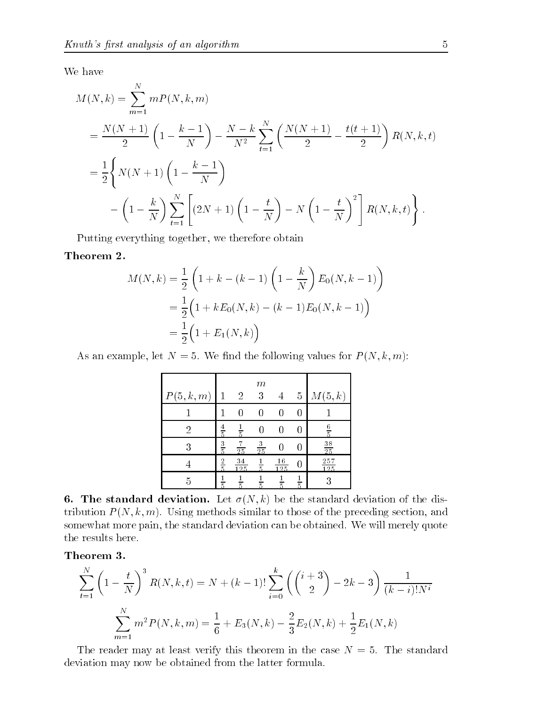We have

$$
M(N,k) = \sum_{m=1}^{N} mP(N,k,m)
$$
  
=  $\frac{N(N+1)}{2} \left(1 - \frac{k-1}{N}\right) - \frac{N-k}{N^2} \sum_{t=1}^{N} \left(\frac{N(N+1)}{2} - \frac{t(t+1)}{2}\right) R(N,k,t)$   
=  $\frac{1}{2} \left\{ N(N+1) \left(1 - \frac{k-1}{N}\right) - \left(1 - \frac{t}{N}\right) \sum_{t=1}^{N} \left[ (2N+1) \left(1 - \frac{t}{N}\right) - N \left(1 - \frac{t}{N}\right)^2 \right] R(N,k,t) \right\}.$ 

Putting everything together, we therefore obtain

# Theorem 2.

$$
M(N,k) = \frac{1}{2} \left( 1 + k - (k - 1) \left( 1 - \frac{k}{N} \right) E_0(N, k - 1) \right)
$$
  
= 
$$
\frac{1}{2} \left( 1 + k E_0(N, k) - (k - 1) E_0(N, k - 1) \right)
$$
  
= 
$$
\frac{1}{2} \left( 1 + E_1(N, k) \right)
$$

As an example let  $\mathbf{A}$ . We have the following values for  $\mathbf{A}$  (i.e.  $\mathbf{A}$ 

|          |               |                      | $_{m}$         |                  |               |                       |
|----------|---------------|----------------------|----------------|------------------|---------------|-----------------------|
| P(5,k,m) | 1             | $\overline{2}$       | 3              |                  | 5             | M(5,k)                |
|          |               |                      |                |                  |               |                       |
| 2        | $\frac{4}{5}$ | $\frac{1}{5}$        |                |                  |               | $\frac{6}{5}$         |
| 3        | $rac{3}{5}$   | 7<br>$\overline{25}$ | $\frac{3}{25}$ |                  |               | 38<br>$\overline{25}$ |
|          | $\frac{2}{5}$ | 34<br>125            | $\overline{5}$ | $\frac{16}{125}$ |               | 257<br>125            |
|          | 5             | $\overline{5}$       |                | 5                | $\frac{1}{5}$ |                       |

**6. The standard deviation.** Let  $\sigma(N, k)$  be the standard deviation of the dis- $\alpha$  and  $\alpha$   $\alpha$   $\beta$  . The property similar to those of the preceding section, and somewhat more pain the standard deviation can be obtained- We will merely quote the results here.

Theorem 3.

$$
\sum_{t=1}^{N} \left(1 - \frac{t}{N}\right)^3 R(N, k, t) = N + (k - 1)! \sum_{i=0}^{k} \left(\binom{i+3}{2} - 2k - 3\right) \frac{1}{(k - i)! N^i}
$$

$$
\sum_{m=1}^{N} m^2 P(N, k, m) = \frac{1}{6} + E_3(N, k) - \frac{2}{3} E_2(N, k) + \frac{1}{2} E_1(N, k)
$$

The reader may at least verify this theorem in the case <sup>N</sup> - The standard deviation may now be obtained from the latter formula.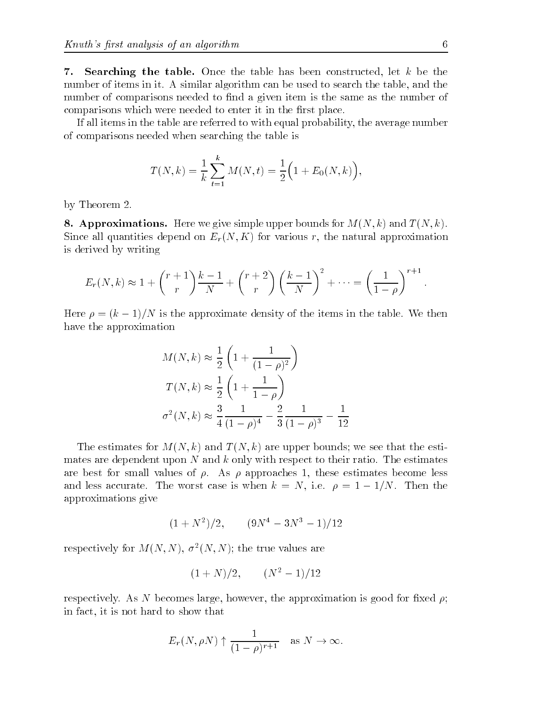7. Searching the table. Once the table has been constructed, let  $k$  be the number of it-distinct in it. It seems in algorithm can be used to search the table  $\alpha$ number of comparisons needed to find a given item is the same as the number of comparisons which were needed to enter it in the first place.

If all items in the table are referred to with equal probability, the average number of comparisons needed when searching the table is

$$
T(N,k) = \frac{1}{k} \sum_{t=1}^{k} M(N,t) = \frac{1}{2} \Big( 1 + E_0(N,k) \Big),
$$

by Theorem 2.

**8. Approximations.** Here we give simple upper bounds for  $M(N, k)$  and  $T(N, k)$ . Since all quantities depend on  $E_r(N,K)$  for various r, the natural approximation is derived by writing

$$
E_r(N,k) \approx 1 + \binom{r+1}{r} \frac{k-1}{N} + \binom{r+2}{r} \left(\frac{k-1}{N}\right)^2 + \dots = \left(\frac{1}{1-\rho}\right)^{r+1}.
$$

Here  $\mu$  . The approximate dependence in the items in the table-table-table-table-table-table-table-table-tablehave the approximation

$$
M(N,k) \approx \frac{1}{2} \left( 1 + \frac{1}{(1-\rho)^2} \right)
$$
  

$$
T(N,k) \approx \frac{1}{2} \left( 1 + \frac{1}{1-\rho} \right)
$$
  

$$
\sigma^2(N,k) \approx \frac{3}{4} \frac{1}{(1-\rho)^4} - \frac{2}{3} \frac{1}{(1-\rho)^3} - \frac{1}{12}
$$

The estimates for  $M(N, k)$  and  $T(N, k)$  are upper bounds; we see that the estimates are dependent up the estimates are positive respect to the estimates and continuation are best for small values of a plant of approaches at these estimates become less and and less accurates and is when the word is when  $\alpha$  is when  $\beta$  and  $\beta$  and  $\beta$  and  $\beta$  and  $\beta$  and  $\beta$ approximations give

$$
(1 + N^2)/2
$$
,  $(9N^4 - 3N^3 - 1)/12$ 

respectively for  $M(N, N), \sigma^-(N, N)$ ; the true values are

$$
(1+N)/2
$$
,  $(N^2-1)/12$ 

respectively-the contractive increases in a new process in provided the approximation is a contract to the contract of in fact, it is not hard to show that

$$
E_r(N, \rho N) \uparrow \frac{1}{(1-\rho)^{r+1}}
$$
 as  $N \to \infty$ .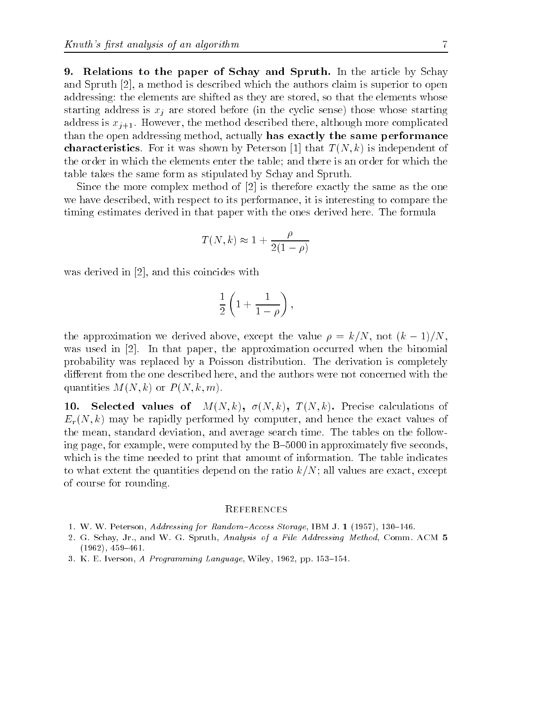9. Relations to the paper of Schay and Spruth. In the article by Schay and Spruth  $[2]$ , a method is described which the authors claim is superior to open addressing: the elements are shifted as they are stored, so that the elements whose starting address is  $x_i$  are stored before (in the cyclic sense) those whose starting address is a film more although more complicated the method of the method described the more complications of than the open addressing method, actually has exactly the same performance characteristics-  $\mathcal{L}$  is the characteristic of  $\mathcal{L}$  . The periodic independent of  $\mathcal{L}$ the order in which the elements enter the table; and there is an order for which the table takes the same form as stipulated by Schay and Spruth-

Since the more complex method of  $[2]$  is therefore exactly the same as the one we have described, with respect to its performance, it is interesting to compare the timing estimates derived in that paper with the ones derived here- The formula

$$
T(N,k) \approx 1 + \frac{\rho}{2(1-\rho)}
$$

was derived in  $[2]$ , and this coincides with

$$
\frac{1}{2}\left(1+\frac{1}{1-\rho}\right),\right
$$

the approximation we derive above the value  $\mathbb{R}^n$  the value  $\mathbb{R}^n$  . The value  $\mathbb{R}^n$ was used in 
- In that paper the approximation occurred when the binomial probability was replaced byaPoisson distribution- The derivation is completely different from the one described here, and the authors were not concerned with the quantities  $M(N,k)$  or  $P(N,k,m)$ .

 $10.$ Selected values of  $M(N, k)$ ,  $\sigma(N, k)$ ,  $T(N, k)$ . Precise calculations of  $E_r(N, k)$  may be rapidly performed by computer, and hence the exact values of the mean  $\mathbf{N}$ ing page, for example, were computed by the  $B$ -5000 in approximately five seconds, which is the time needed to print that amount of information-table indicates amount of informationto what the complete quantities depend on the ratio k-will value in the ratio  $\alpha$  all values  $\mu$  . of course for rounding-

### **REFERENCES**

- The contract of the Contract of The Random Contract of The Contract of The Contract of The Contract of The The
- ga Ga String Grad and the Spruth, reverged of a red ries, county modes at String recent and the S 
-
- a compared to the comparative control of the compared of the second control of the compared of the compared of